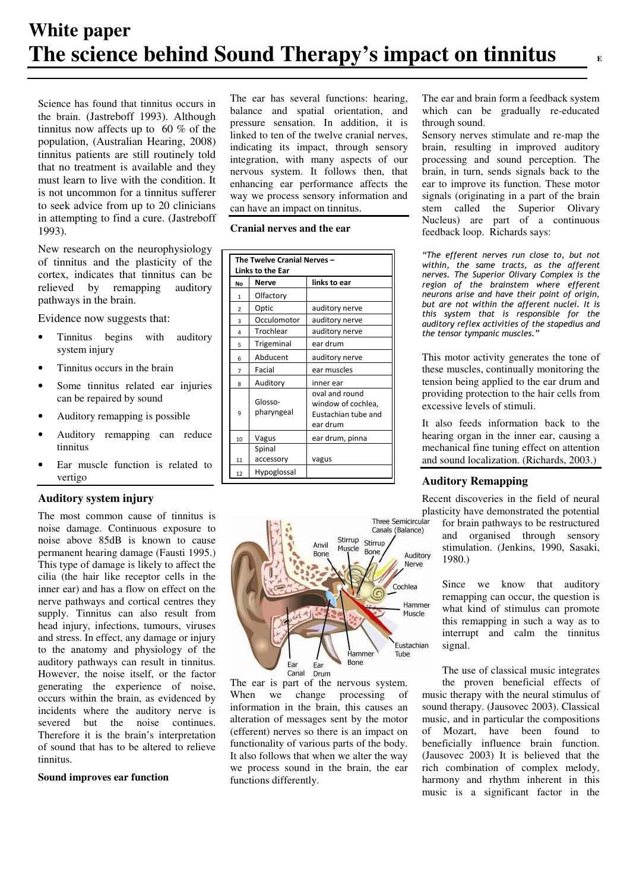Science has found that tinnitus occurs in the brain. (Jastreboff 1993). Although tinnitus now affects up to 60 % of the population, (Australian Hearing, 2008) tinnitus patients are still routinely told that no treatment is available and they must learn to live with the condition. It is not uncommon for a tinnitus sufferer to seek advice from up to 20 clinicians in attempting to find a cure. (Jastreboff 1993).

New research on the neurophysiology of tinnitus and the plasticity of the cortex, indicates that tinnitus can be relieved by remapping auditory pathways in the brain.

Evidence now suggests that:

- Tinnitus begins with auditory system injury
- Tinnitus occurs in the brain
- Some tinnitus related ear injuries can be repaired by sound
- Auditory remapping is possible
- Auditory remapping can reduce tinnitus
- Ear muscle function is related to vertigo

## **Auditory system injury**

The most common cause of tinnitus is noise damage. Continuous exposure to noise above 85dB is known to cause permanent hearing damage (Fausti 1995.) This type of damage is likely to affect the cilia (the hair like receptor cells in the inner ear) and has a flow on effect on the nerve pathways and cortical centres they supply. Tinnitus can also result from head injury, infections, tumours, viruses and stress. In effect, any damage or injury to the anatomy and physiology of the auditory pathways can result in tinnitus. However, the noise itself, or the factor generating the experience of noise, occurs within the brain, as evidenced by incidents where the auditory nerve is severed but the noise continues. Therefore it is the brain's interpretation of sound that has to be altered to relieve tinnitus.

### **Sound improves ear function**

The ear has several functions: hearing, balance and spatial orientation, and pressure sensation. In addition, it is linked to ten of the twelve cranial nerves, indicating its impact, through sensory integration, with many aspects of our nervous system. It follows then, that enhancing ear performance affects the way we process sensory information and can have an impact on tinnitus.

**Cranial nerves and the ear** 

| The Twelve Cranial Nerves -<br>Links to the Ear |                       |                                                                         |
|-------------------------------------------------|-----------------------|-------------------------------------------------------------------------|
| No                                              | Nerve                 | links to ear                                                            |
| 1                                               | Olfactory             |                                                                         |
| $\overline{2}$                                  | Optic                 | auditory nerve                                                          |
| 3                                               | Occulomotor           | auditory nerve                                                          |
| 4                                               | Trochlear             | auditory nerve                                                          |
| 5                                               | Trigeminal            | ear drum                                                                |
| 6                                               | Abducent              | auditory nerve                                                          |
| $\overline{7}$                                  | Facial                | ear muscles                                                             |
| 8                                               | Auditory              | inner ear                                                               |
| 9                                               | Glosso-<br>pharyngeal | oval and round<br>window of cochlea,<br>Eustachian tube and<br>ear drum |
| 10                                              | Vagus                 | ear drum, pinna                                                         |
| 11                                              | Spinal<br>accessory   | vagus                                                                   |
| 12                                              | Hypoglossal           |                                                                         |



The ear is part of the nervous system. When we change processing of information in the brain, this causes an alteration of messages sent by the motor (efferent) nerves so there is an impact on functionality of various parts of the body. It also follows that when we alter the way we process sound in the brain, the ear functions differently.

The ear and brain form a feedback system which can be gradually re-educated through sound.

Sensory nerves stimulate and re-map the brain, resulting in improved auditory processing and sound perception. The brain, in turn, sends signals back to the ear to improve its function. These motor signals (originating in a part of the brain stem called the Superior Olivary Nucleus) are part of a continuous feedback loop. Richards says:

"The efferent nerves run close to, but not within, the same tracts, as the afferent nerves. The Superior Olivary Complex is the region of the brainstem where efferent neurons arise and have their point of origin, but are not within the afferent nuclei. It is this system that is responsible for the auditory reflex activities of the stapedius and the tensor tympanic muscles.'

This motor activity generates the tone of these muscles, continually monitoring the tension being applied to the ear drum and providing protection to the hair cells from excessive levels of stimuli.

It also feeds information back to the hearing organ in the inner ear, causing a mechanical fine tuning effect on attention and sound localization. (Richards, 2003.)

## **Auditory Remapping**

Recent discoveries in the field of neural plasticity have demonstrated the potential<br>Three Semicircular for brain noth usua to be restructured

for brain pathways to be restructured and organised through sensory stimulation. (Jenkins, 1990, Sasaki, 1980.)

Since we know that auditory remapping can occur, the question is what kind of stimulus can promote this remapping in such a way as to interrupt and calm the tinnitus signal.

The use of classical music integrates the proven beneficial effects of

music therapy with the neural stimulus of sound therapy. (Jausovec 2003). Classical music, and in particular the compositions of Mozart, have been found to beneficially influence brain function. (Jausovec 2003) It is believed that the rich combination of complex melody, harmony and rhythm inherent in this music is a significant factor in the